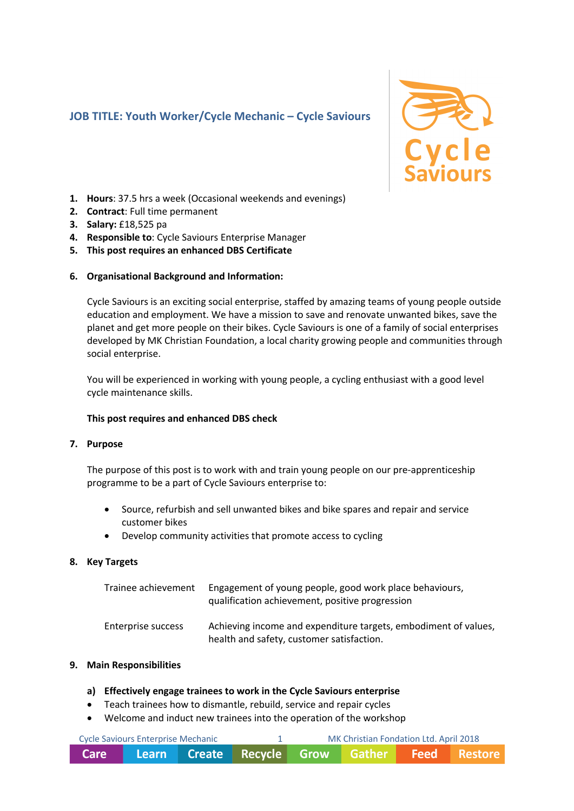## **JOB TITLE: Youth Worker/Cycle Mechanic – Cycle Saviours**



- **1. Hours**: 37.5 hrs a week (Occasional weekends and evenings)
- **2. Contract**: Full time permanent
- **3. Salary:** £18,525 pa
- **4. Responsible to**: Cycle Saviours Enterprise Manager
- **5. This post requires an enhanced DBS Certificate**

#### **6. Organisational Background and Information:**

Cycle Saviours is an exciting social enterprise, staffed by amazing teams of young people outside education and employment. We have a mission to save and renovate unwanted bikes, save the planet and get more people on their bikes. Cycle Saviours is one of a family of social enterprises developed by MK Christian Foundation, a local charity growing people and communities through social enterprise.

You will be experienced in working with young people, a cycling enthusiast with a good level cycle maintenance skills.

#### **This post requires and enhanced DBS check**

#### **7. Purpose**

The purpose of this post is to work with and train young people on our pre-apprenticeship programme to be a part of Cycle Saviours enterprise to:

- Source, refurbish and sell unwanted bikes and bike spares and repair and service customer bikes
- Develop community activities that promote access to cycling

#### **8. Key Targets**

| Trainee achievement | Engagement of young people, good work place behaviours,<br>qualification achievement, positive progression   |
|---------------------|--------------------------------------------------------------------------------------------------------------|
| Enterprise success  | Achieving income and expenditure targets, embodiment of values,<br>health and safety, customer satisfaction. |

#### **9. Main Responsibilities**

#### **a) Effectively engage trainees to work in the Cycle Saviours enterprise**

- Teach trainees how to dismantle, rebuild, service and repair cycles
- Welcome and induct new trainees into the operation of the workshop

| Cycle Saviours Enterprise Mechanic |  |  | MK Christian Fondation Ltd. April 2018                         |  |  |  |  |
|------------------------------------|--|--|----------------------------------------------------------------|--|--|--|--|
| Care                               |  |  | <b>Example 2 Learn Create Recycle Grow Gather Feed Restore</b> |  |  |  |  |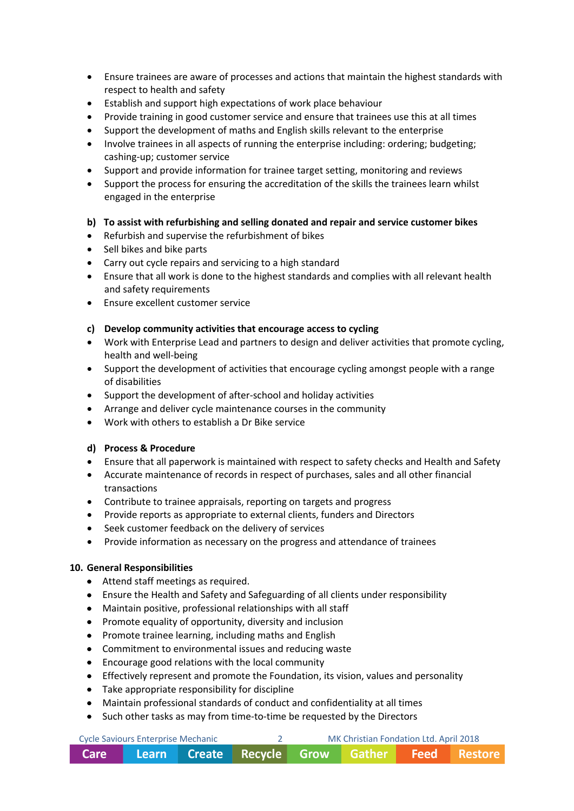- Ensure trainees are aware of processes and actions that maintain the highest standards with respect to health and safety
- Establish and support high expectations of work place behaviour
- Provide training in good customer service and ensure that trainees use this at all times
- Support the development of maths and English skills relevant to the enterprise
- Involve trainees in all aspects of running the enterprise including: ordering; budgeting; cashing-up; customer service
- Support and provide information for trainee target setting, monitoring and reviews
- Support the process for ensuring the accreditation of the skills the trainees learn whilst engaged in the enterprise

### **b) To assist with refurbishing and selling donated and repair and service customer bikes**

- Refurbish and supervise the refurbishment of bikes
- Sell bikes and bike parts
- Carry out cycle repairs and servicing to a high standard
- Ensure that all work is done to the highest standards and complies with all relevant health and safety requirements
- Ensure excellent customer service

### **c) Develop community activities that encourage access to cycling**

- Work with Enterprise Lead and partners to design and deliver activities that promote cycling, health and well-being
- Support the development of activities that encourage cycling amongst people with a range of disabilities
- Support the development of after-school and holiday activities
- Arrange and deliver cycle maintenance courses in the community
- Work with others to establish a Dr Bike service

### **d) Process & Procedure**

- Ensure that all paperwork is maintained with respect to safety checks and Health and Safety
- Accurate maintenance of records in respect of purchases, sales and all other financial transactions
- Contribute to trainee appraisals, reporting on targets and progress
- Provide reports as appropriate to external clients, funders and Directors
- Seek customer feedback on the delivery of services
- Provide information as necessary on the progress and attendance of trainees

### **10. General Responsibilities**

- Attend staff meetings as required.
- Ensure the Health and Safety and Safeguarding of all clients under responsibility
- Maintain positive, professional relationships with all staff
- Promote equality of opportunity, diversity and inclusion
- Promote trainee learning, including maths and English
- Commitment to environmental issues and reducing waste
- Encourage good relations with the local community
- Effectively represent and promote the Foundation, its vision, values and personality
- Take appropriate responsibility for discipline
- Maintain professional standards of conduct and confidentiality at all times
- Such other tasks as may from time-to-time be requested by the Directors

| Cycle Saviours Enterprise Mechanic |                                                    |  | MK Christian Fondation Ltd. April 2018 |  |
|------------------------------------|----------------------------------------------------|--|----------------------------------------|--|
|                                    | Care Learn Create Recycle Grow Gather Feed Restore |  |                                        |  |